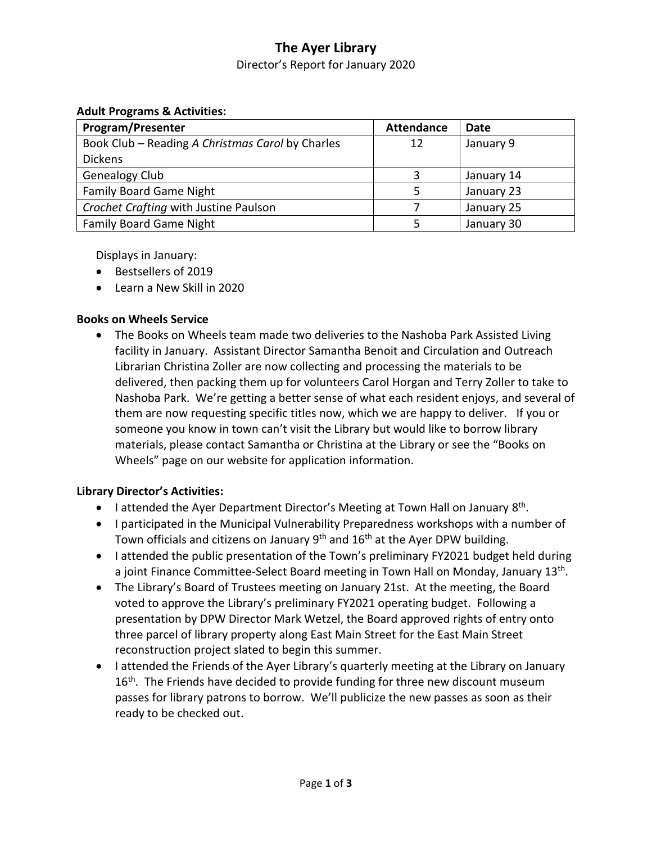# **The Ayer Library**

Director's Report for January 2020

#### **Adult Programs & Activities:**

| <b>Program/Presenter</b>                         | <b>Attendance</b> | Date       |
|--------------------------------------------------|-------------------|------------|
| Book Club – Reading A Christmas Carol by Charles | 12                | January 9  |
| <b>Dickens</b>                                   |                   |            |
| Genealogy Club                                   |                   | January 14 |
| <b>Family Board Game Night</b>                   |                   | January 23 |
| Crochet Crafting with Justine Paulson            |                   | January 25 |
| <b>Family Board Game Night</b>                   |                   | January 30 |

Displays in January:

- Bestsellers of 2019
- Learn a New Skill in 2020

### **Books on Wheels Service**

 The Books on Wheels team made two deliveries to the Nashoba Park Assisted Living facility in January. Assistant Director Samantha Benoit and Circulation and Outreach Librarian Christina Zoller are now collecting and processing the materials to be delivered, then packing them up for volunteers Carol Horgan and Terry Zoller to take to Nashoba Park. We're getting a better sense of what each resident enjoys, and several of them are now requesting specific titles now, which we are happy to deliver. If you or someone you know in town can't visit the Library but would like to borrow library materials, please contact Samantha or Christina at the Library or see the "Books on Wheels" page on our website for application information.

### **Library Director's Activities:**

- I attended the Ayer Department Director's Meeting at Town Hall on January 8<sup>th</sup>.
- I participated in the Municipal Vulnerability Preparedness workshops with a number of Town officials and citizens on January  $9<sup>th</sup>$  and  $16<sup>th</sup>$  at the Ayer DPW building.
- I attended the public presentation of the Town's preliminary FY2021 budget held during a joint Finance Committee-Select Board meeting in Town Hall on Monday, January 13<sup>th</sup>.
- The Library's Board of Trustees meeting on January 21st. At the meeting, the Board voted to approve the Library's preliminary FY2021 operating budget. Following a presentation by DPW Director Mark Wetzel, the Board approved rights of entry onto three parcel of library property along East Main Street for the East Main Street reconstruction project slated to begin this summer.
- I attended the Friends of the Ayer Library's quarterly meeting at the Library on January 16<sup>th</sup>. The Friends have decided to provide funding for three new discount museum passes for library patrons to borrow. We'll publicize the new passes as soon as their ready to be checked out.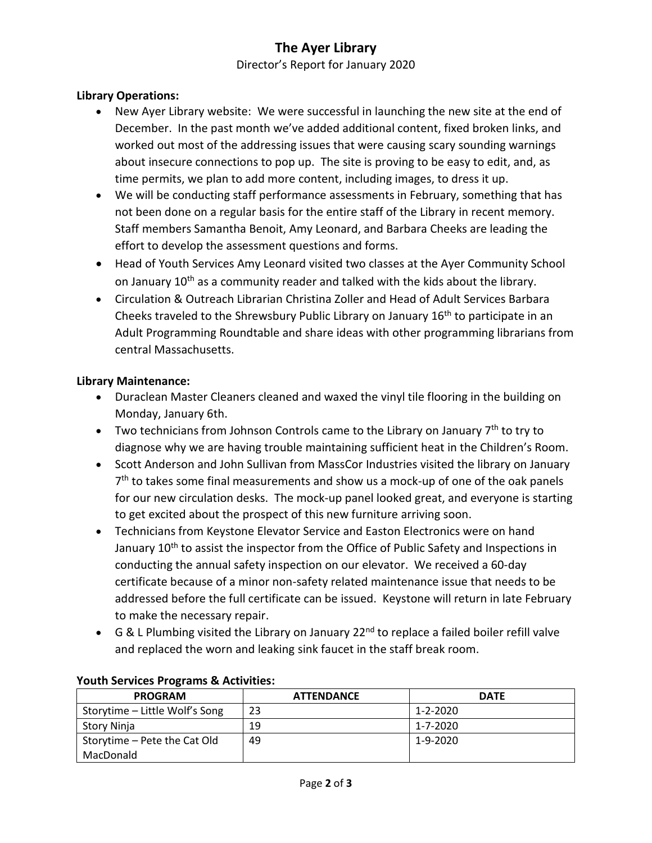# **The Ayer Library**

Director's Report for January 2020

### **Library Operations:**

- New Ayer Library website: We were successful in launching the new site at the end of December. In the past month we've added additional content, fixed broken links, and worked out most of the addressing issues that were causing scary sounding warnings about insecure connections to pop up. The site is proving to be easy to edit, and, as time permits, we plan to add more content, including images, to dress it up.
- We will be conducting staff performance assessments in February, something that has not been done on a regular basis for the entire staff of the Library in recent memory. Staff members Samantha Benoit, Amy Leonard, and Barbara Cheeks are leading the effort to develop the assessment questions and forms.
- Head of Youth Services Amy Leonard visited two classes at the Ayer Community School on January 10<sup>th</sup> as a community reader and talked with the kids about the library.
- Circulation & Outreach Librarian Christina Zoller and Head of Adult Services Barbara Cheeks traveled to the Shrewsbury Public Library on January 16<sup>th</sup> to participate in an Adult Programming Roundtable and share ideas with other programming librarians from central Massachusetts.

#### **Library Maintenance:**

- Duraclean Master Cleaners cleaned and waxed the vinyl tile flooring in the building on Monday, January 6th.
- Two technicians from Johnson Controls came to the Library on January  $7<sup>th</sup>$  to try to diagnose why we are having trouble maintaining sufficient heat in the Children's Room.
- Scott Anderson and John Sullivan from MassCor Industries visited the library on January 7<sup>th</sup> to takes some final measurements and show us a mock-up of one of the oak panels for our new circulation desks. The mock-up panel looked great, and everyone is starting to get excited about the prospect of this new furniture arriving soon.
- Technicians from Keystone Elevator Service and Easton Electronics were on hand January 10<sup>th</sup> to assist the inspector from the Office of Public Safety and Inspections in conducting the annual safety inspection on our elevator. We received a 60-day certificate because of a minor non-safety related maintenance issue that needs to be addressed before the full certificate can be issued. Keystone will return in late February to make the necessary repair.
- G & L Plumbing visited the Library on January 22<sup>nd</sup> to replace a failed boiler refill valve and replaced the worn and leaking sink faucet in the staff break room.

| $\sim$<br><b>PROGRAM</b>       | <b>ATTENDANCE</b> | <b>DATE</b> |
|--------------------------------|-------------------|-------------|
| Storytime - Little Wolf's Song | 23                | 1-2-2020    |
| Story Ninja                    | 19                | 1-7-2020    |
| Storytime - Pete the Cat Old   | 49                | 1-9-2020    |
| MacDonald                      |                   |             |

#### **Youth Services Programs & Activities:**